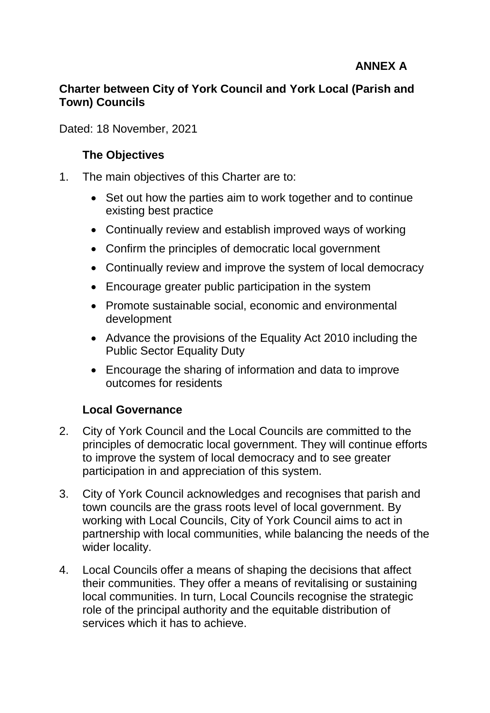# **ANNEX A**

## **Charter between City of York Council and York Local (Parish and Town) Councils**

Dated: 18 November, 2021

## **The Objectives**

- 1. The main objectives of this Charter are to:
	- Set out how the parties aim to work together and to continue existing best practice
	- Continually review and establish improved ways of working
	- Confirm the principles of democratic local government
	- Continually review and improve the system of local democracy
	- Encourage greater public participation in the system
	- Promote sustainable social, economic and environmental development
	- Advance the provisions of the Equality Act 2010 including the Public Sector Equality Duty
	- Encourage the sharing of information and data to improve outcomes for residents

# **Local Governance**

- 2. City of York Council and the Local Councils are committed to the principles of democratic local government. They will continue efforts to improve the system of local democracy and to see greater participation in and appreciation of this system.
- 3. City of York Council acknowledges and recognises that parish and town councils are the grass roots level of local government. By working with Local Councils, City of York Council aims to act in partnership with local communities, while balancing the needs of the wider locality.
- 4. Local Councils offer a means of shaping the decisions that affect their communities. They offer a means of revitalising or sustaining local communities. In turn, Local Councils recognise the strategic role of the principal authority and the equitable distribution of services which it has to achieve.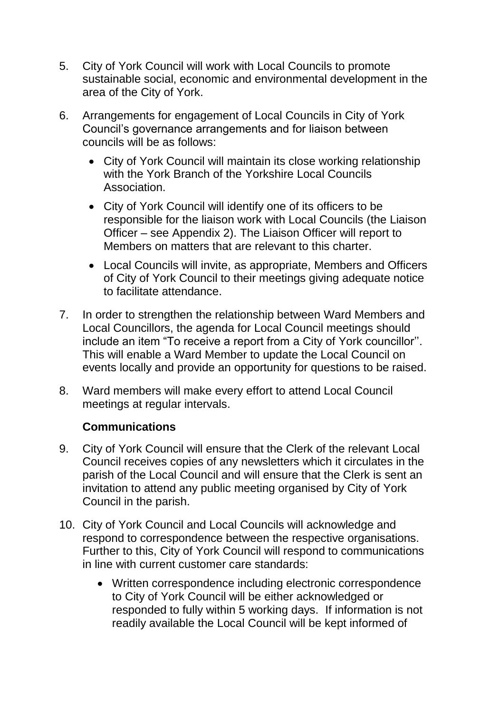- 5. City of York Council will work with Local Councils to promote sustainable social, economic and environmental development in the area of the City of York.
- 6. Arrangements for engagement of Local Councils in City of York Council's governance arrangements and for liaison between councils will be as follows:
	- City of York Council will maintain its close working relationship with the York Branch of the Yorkshire Local Councils Association.
	- City of York Council will identify one of its officers to be responsible for the liaison work with Local Councils (the Liaison Officer – see Appendix 2). The Liaison Officer will report to Members on matters that are relevant to this charter.
	- Local Councils will invite, as appropriate, Members and Officers of City of York Council to their meetings giving adequate notice to facilitate attendance.
- 7. In order to strengthen the relationship between Ward Members and Local Councillors, the agenda for Local Council meetings should include an item "To receive a report from a City of York councillor''. This will enable a Ward Member to update the Local Council on events locally and provide an opportunity for questions to be raised.
- 8. Ward members will make every effort to attend Local Council meetings at regular intervals.

# **Communications**

- 9. City of York Council will ensure that the Clerk of the relevant Local Council receives copies of any newsletters which it circulates in the parish of the Local Council and will ensure that the Clerk is sent an invitation to attend any public meeting organised by City of York Council in the parish.
- 10. City of York Council and Local Councils will acknowledge and respond to correspondence between the respective organisations. Further to this, City of York Council will respond to communications in line with current customer care standards:
	- Written correspondence including electronic correspondence to City of York Council will be either acknowledged or responded to fully within 5 working days. If information is not readily available the Local Council will be kept informed of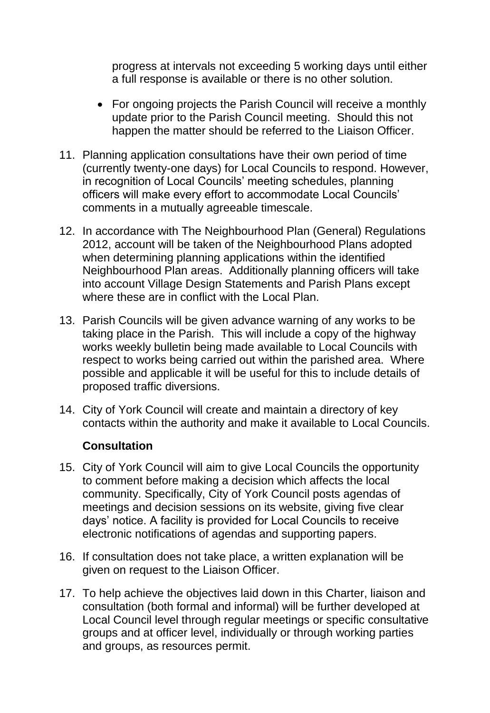progress at intervals not exceeding 5 working days until either a full response is available or there is no other solution.

- For ongoing projects the Parish Council will receive a monthly update prior to the Parish Council meeting. Should this not happen the matter should be referred to the Liaison Officer.
- 11. Planning application consultations have their own period of time (currently twenty-one days) for Local Councils to respond. However, in recognition of Local Councils' meeting schedules, planning officers will make every effort to accommodate Local Councils' comments in a mutually agreeable timescale.
- 12. In accordance with The Neighbourhood Plan (General) Regulations 2012, account will be taken of the Neighbourhood Plans adopted when determining planning applications within the identified Neighbourhood Plan areas. Additionally planning officers will take into account Village Design Statements and Parish Plans except where these are in conflict with the Local Plan.
- 13. Parish Councils will be given advance warning of any works to be taking place in the Parish. This will include a copy of the highway works weekly bulletin being made available to Local Councils with respect to works being carried out within the parished area. Where possible and applicable it will be useful for this to include details of proposed traffic diversions.
- 14. City of York Council will create and maintain a directory of key contacts within the authority and make it available to Local Councils.

## **Consultation**

- 15. City of York Council will aim to give Local Councils the opportunity to comment before making a decision which affects the local community. Specifically, City of York Council posts agendas of meetings and decision sessions on its website, giving five clear days' notice. A facility is provided for Local Councils to receive electronic notifications of agendas and supporting papers.
- 16. If consultation does not take place, a written explanation will be given on request to the Liaison Officer.
- 17. To help achieve the objectives laid down in this Charter, liaison and consultation (both formal and informal) will be further developed at Local Council level through regular meetings or specific consultative groups and at officer level, individually or through working parties and groups, as resources permit.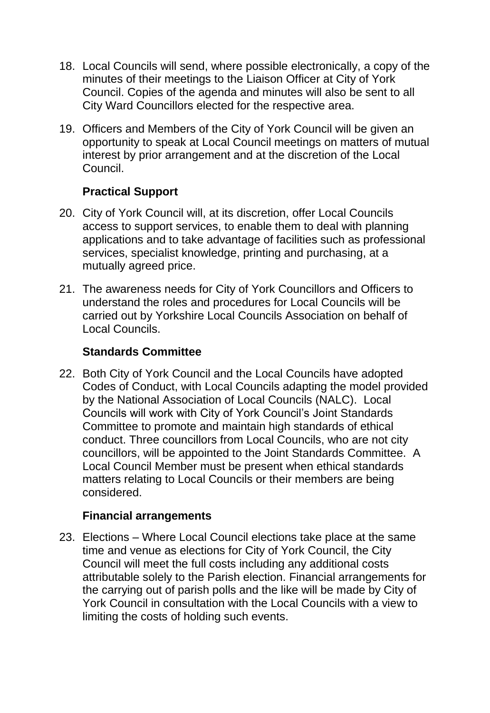- 18. Local Councils will send, where possible electronically, a copy of the minutes of their meetings to the Liaison Officer at City of York Council. Copies of the agenda and minutes will also be sent to all City Ward Councillors elected for the respective area.
- 19. Officers and Members of the City of York Council will be given an opportunity to speak at Local Council meetings on matters of mutual interest by prior arrangement and at the discretion of the Local Council.

# **Practical Support**

- 20. City of York Council will, at its discretion, offer Local Councils access to support services, to enable them to deal with planning applications and to take advantage of facilities such as professional services, specialist knowledge, printing and purchasing, at a mutually agreed price.
- 21. The awareness needs for City of York Councillors and Officers to understand the roles and procedures for Local Councils will be carried out by Yorkshire Local Councils Association on behalf of Local Councils.

#### **Standards Committee**

22. Both City of York Council and the Local Councils have adopted Codes of Conduct, with Local Councils adapting the model provided by the National Association of Local Councils (NALC). Local Councils will work with City of York Council's Joint Standards Committee to promote and maintain high standards of ethical conduct. Three councillors from Local Councils, who are not city councillors, will be appointed to the Joint Standards Committee. A Local Council Member must be present when ethical standards matters relating to Local Councils or their members are being considered.

## **Financial arrangements**

23. Elections – Where Local Council elections take place at the same time and venue as elections for City of York Council, the City Council will meet the full costs including any additional costs attributable solely to the Parish election. Financial arrangements for the carrying out of parish polls and the like will be made by City of York Council in consultation with the Local Councils with a view to limiting the costs of holding such events.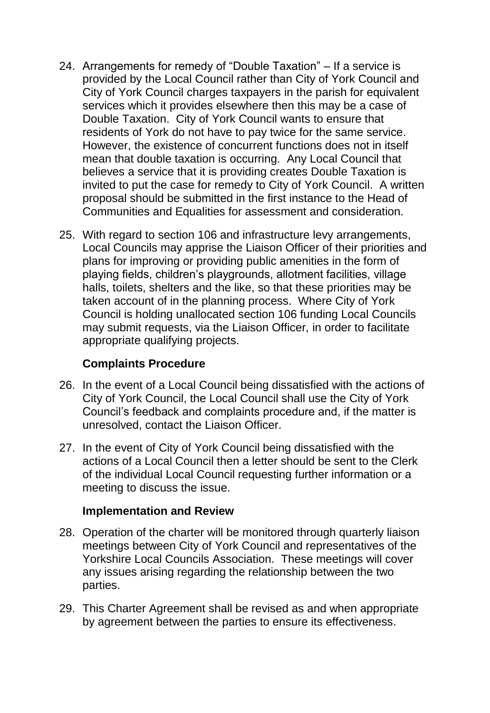- 24. Arrangements for remedy of "Double Taxation" If a service is provided by the Local Council rather than City of York Council and City of York Council charges taxpayers in the parish for equivalent services which it provides elsewhere then this may be a case of Double Taxation. City of York Council wants to ensure that residents of York do not have to pay twice for the same service. However, the existence of concurrent functions does not in itself mean that double taxation is occurring. Any Local Council that believes a service that it is providing creates Double Taxation is invited to put the case for remedy to City of York Council. A written proposal should be submitted in the first instance to the Head of Communities and Equalities for assessment and consideration.
- 25. With regard to section 106 and infrastructure levy arrangements, Local Councils may apprise the Liaison Officer of their priorities and plans for improving or providing public amenities in the form of playing fields, children's playgrounds, allotment facilities, village halls, toilets, shelters and the like, so that these priorities may be taken account of in the planning process. Where City of York Council is holding unallocated section 106 funding Local Councils may submit requests, via the Liaison Officer, in order to facilitate appropriate qualifying projects.

## **Complaints Procedure**

- 26. In the event of a Local Council being dissatisfied with the actions of City of York Council, the Local Council shall use the City of York Council's feedback and complaints procedure and, if the matter is unresolved, contact the Liaison Officer.
- 27. In the event of City of York Council being dissatisfied with the actions of a Local Council then a letter should be sent to the Clerk of the individual Local Council requesting further information or a meeting to discuss the issue.

## **Implementation and Review**

- 28. Operation of the charter will be monitored through quarterly liaison meetings between City of York Council and representatives of the Yorkshire Local Councils Association. These meetings will cover any issues arising regarding the relationship between the two parties.
- 29. This Charter Agreement shall be revised as and when appropriate by agreement between the parties to ensure its effectiveness.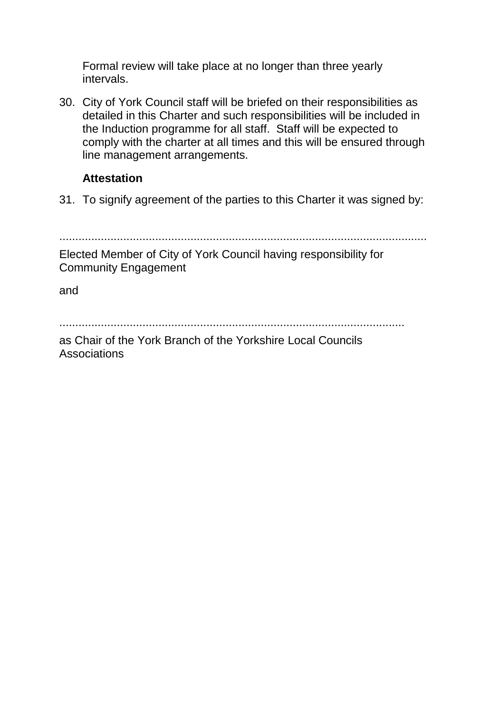Formal review will take place at no longer than three yearly intervals.

30. City of York Council staff will be briefed on their responsibilities as detailed in this Charter and such responsibilities will be included in the Induction programme for all staff. Staff will be expected to comply with the charter at all times and this will be ensured through line management arrangements.

## **Attestation**

31. To signify agreement of the parties to this Charter it was signed by:

...................................................................................................................

Elected Member of City of York Council having responsibility for Community Engagement

and

............................................................................................................

as Chair of the York Branch of the Yorkshire Local Councils **Associations**